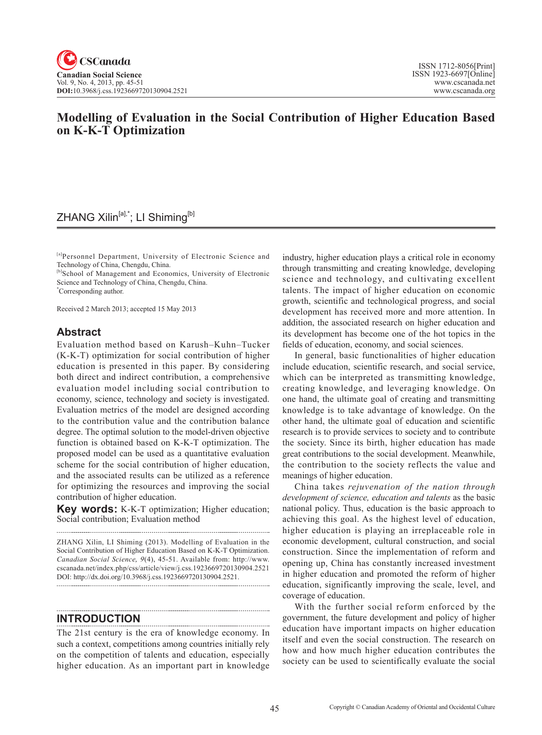# **Modelling of Evaluation in the Social Contribution of Higher Education Based on K-K-T Optimization**

## ZHANG Xilin<sup>[a],\*</sup>; LI Shiming<sup>[b]</sup>

[a]Personnel Department, University of Electronic Science and Technology of China, Chengdu, China.

[b]School of Management and Economics, University of Electronic Science and Technology of China, Chengdu, China.

\* Corresponding author.

Received 2 March 2013; accepted 15 May 2013

### **Abstract**

Evaluation method based on Karush–Kuhn–Tucker (K-K-T) optimization for social contribution of higher education is presented in this paper. By considering both direct and indirect contribution, a comprehensive evaluation model including social contribution to economy, science, technology and society is investigated. Evaluation metrics of the model are designed according to the contribution value and the contribution balance degree. The optimal solution to the model-driven objective function is obtained based on K-K-T optimization. The proposed model can be used as a quantitative evaluation scheme for the social contribution of higher education, and the associated results can be utilized as a reference for optimizing the resources and improving the social contribution of higher education.

**Key words:** K-K-T optimization; Higher education; Social contribution; Evaluation method

ZHANG Xilin, LI Shiming (2013). Modelling of Evaluation in the Social Contribution of Higher Education Based on K-K-T Optimization. *Canadian Social Science*, <sup>9</sup>(4), 45-51. Available from: http://www. cscanada.net/index.php/css/article/view/j.css.1923669720130904.2521 DOI: http://dx.doi.org/10.3968/j.css.1923669720130904.2521.

#### **INTRODUCTION**

The 21st century is the era of knowledge economy. In such a context, competitions among countries initially rely on the competition of talents and education, especially higher education. As an important part in knowledge

industry, higher education plays a critical role in economy through transmitting and creating knowledge, developing science and technology, and cultivating excellent talents. The impact of higher education on economic growth, scientific and technological progress, and social development has received more and more attention. In addition, the associated research on higher education and its development has become one of the hot topics in the fields of education, economy, and social sciences.

In general, basic functionalities of higher education include education, scientific research, and social service, which can be interpreted as transmitting knowledge, creating knowledge, and leveraging knowledge. On one hand, the ultimate goal of creating and transmitting knowledge is to take advantage of knowledge. On the other hand, the ultimate goal of education and scientific research is to provide services to society and to contribute the society. Since its birth, higher education has made great contributions to the social development. Meanwhile, the contribution to the society reflects the value and meanings of higher education.

China takes *rejuvenation of the nation through development of science, education and talents* as the basic national policy. Thus, education is the basic approach to achieving this goal. As the highest level of education, higher education is playing an irreplaceable role in economic development, cultural construction, and social construction. Since the implementation of reform and opening up, China has constantly increased investment in higher education and promoted the reform of higher education, significantly improving the scale, level, and coverage of education.

With the further social reform enforced by the government, the future development and policy of higher education have important impacts on higher education itself and even the social construction. The research on how and how much higher education contributes the society can be used to scientifically evaluate the social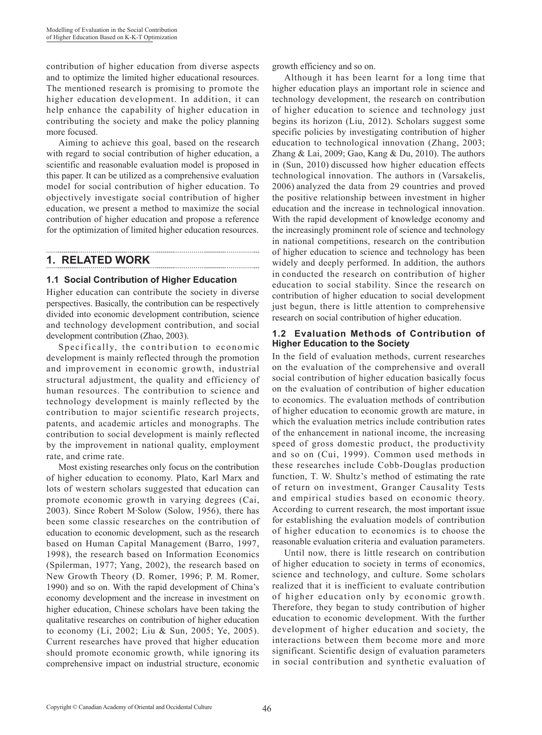contribution of higher education from diverse aspects and to optimize the limited higher educational resources. The mentioned research is promising to promote the higher education development. In addition, it can help enhance the capability of higher education in contributing the society and make the policy planning more focused.

Aiming to achieve this goal, based on the research with regard to social contribution of higher education, a scientific and reasonable evaluation model is proposed in this paper. It can be utilized as a comprehensive evaluation model for social contribution of higher education. To objectively investigate social contribution of higher education, we present a method to maximize the social contribution of higher education and propose a reference for the optimization of limited higher education resources.

# **1. RELATED WORK**

#### **1.1 Social Contribution of Higher Education**

Higher education can contribute the society in diverse perspectives. Basically, the contribution can be respectively divided into economic development contribution, science and technology development contribution, and social development contribution (Zhao, 2003).

Specifically, the contribution to economic development is mainly reflected through the promotion and improvement in economic growth, industrial structural adjustment, the quality and efficiency of human resources. The contribution to science and technology development is mainly reflected by the contribution to major scientific research projects, patents, and academic articles and monographs. The contribution to social development is mainly reflected by the improvement in national quality, employment rate, and crime rate.

Most existing researches only focus on the contribution of higher education to economy. Plato, Karl Marx and lots of western scholars suggested that education can promote economic growth in varying degrees (Cai, 2003). Since Robert M·Solow (Solow, 1956), there has been some classic researches on the contribution of education to economic development, such as the research based on Human Capital Management (Barro, 1997, 1998), the research based on Information Economics (Spilerman, 1977; Yang, 2002), the research based on New Growth Theory (D. Romer, 1996; P. M. Romer, 1990) and so on. With the rapid development of China's economy development and the increase in investment on higher education, Chinese scholars have been taking the qualitative researches on contribution of higher education to economy (Li, 2002; Liu & Sun, 2005; Ye, 2005). Current researches have proved that higher education should promote economic growth, while ignoring its comprehensive impact on industrial structure, economic growth efficiency and so on.

Although it has been learnt for a long time that higher education plays an important role in science and technology development, the research on contribution of higher education to science and technology just begins its horizon (Liu, 2012). Scholars suggest some specific policies by investigating contribution of higher education to technological innovation (Zhang, 2003; Zhang  $&$  Lai, 2009; Gao, Kang  $&$  Du, 2010). The authors in (Sun, 2010) discussed how higher education effects technological innovation. The authors in (Varsakelis, 2006) analyzed the data from 29 countries and proved the positive relationship between investment in higher education and the increase in technological innovation. With the rapid development of knowledge economy and the increasingly prominent role of science and technology in national competitions, research on the contribution of higher education to science and technology has been widely and deeply performed. In addition, the authors in conducted the research on contribution of higher education to social stability. Since the research on contribution of higher education to social development just begun, there is little attention to comprehensive research on social contribution of higher education.

#### **1.2 Evaluation Methods of Contribution of Higher Education to the Society**

In the field of evaluation methods, current researches on the evaluation of the comprehensive and overall social contribution of higher education basically focus on the evaluation of contribution of higher education to economics. The evaluation methods of contribution of higher education to economic growth are mature, in which the evaluation metrics include contribution rates of the enhancement in national income, the increasing speed of gross domestic product, the productivity and so on (Cui, 1999). Common used methods in these researches include Cobb-Douglas production function, T. W. Shultz's method of estimating the rate of return on investment, Granger Causality Tests and empirical studies based on economic theory. According to current research, the most important issue for establishing the evaluation models of contribution of higher education to economics is to choose the reasonable evaluation criteria and evaluation parameters.

Until now, there is little research on contribution of higher education to society in terms of economics, science and technology, and culture. Some scholars realized that it is inefficient to evaluate contribution of higher education only by economic growth. Therefore, they began to study contribution of higher education to economic development. With the further development of higher education and society, the interactions between them become more and more significant. Scientific design of evaluation parameters in social contribution and synthetic evaluation of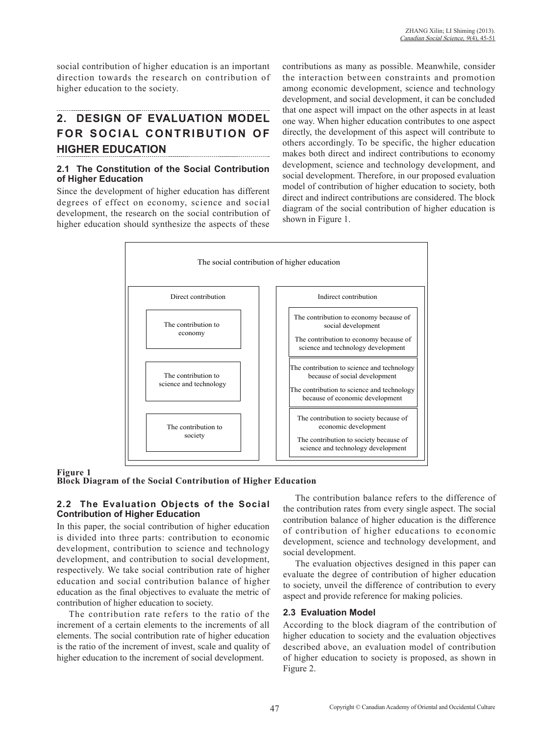social contribution of higher education is an important direction towards the research on contribution of higher education to the society.

# **2. DESIGN OF EVALUATION MODEL FOR SOCIAL CONTRIBUTION OF HIGHER EDUCATION**

#### **2.1 The Constitution of the Social Contribution of Higher Education**

Since the development of higher education has different degrees of effect on economy, science and social development, the research on the social contribution of higher education should synthesize the aspects of these contributions as many as possible. Meanwhile, consider the interaction between constraints and promotion among economic development, science and technology development, and social development, it can be concluded that one aspect will impact on the other aspects in at least one way. When higher education contributes to one aspect directly, the development of this aspect will contribute to others accordingly. To be specific, the higher education makes both direct and indirect contributions to economy development, science and technology development, and social development. Therefore, in our proposed evaluation model of contribution of higher education to society, both direct and indirect contributions are considered. The block diagram of the social contribution of higher education is shown in Figure 1.



#### **Figure 1**

**Block Diagram of the Social Contribution of Higher Education**

#### **2.2 The Evaluation Objects of the Social Contribution of Higher Education**

In this paper, the social contribution of higher education is divided into three parts: contribution to economic development, contribution to science and technology development, and contribution to social development, respectively. We take social contribution rate of higher education and social contribution balance of higher education as the final objectives to evaluate the metric of contribution of higher education to society.

The contribution rate refers to the ratio of the increment of a certain elements to the increments of all elements. The social contribution rate of higher education is the ratio of the increment of invest, scale and quality of higher education to the increment of social development.

The contribution balance refers to the difference of the contribution rates from every single aspect. The social contribution balance of higher education is the difference of contribution of higher educations to economic development, science and technology development, and social development.

The evaluation objectives designed in this paper can evaluate the degree of contribution of higher education to society, unveil the difference of contribution to every aspect and provide reference for making policies.

#### **2.3 Evaluation Model**

According to the block diagram of the contribution of higher education to society and the evaluation objectives described above, an evaluation model of contribution of higher education to society is proposed, as shown in Figure 2.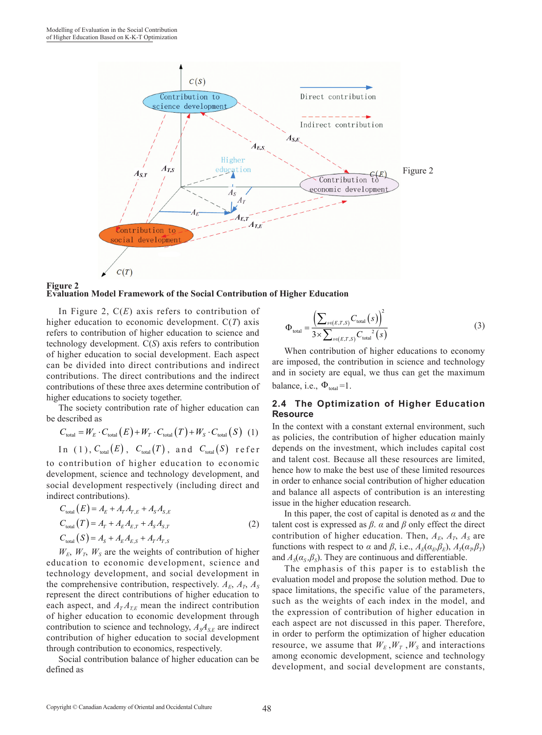



In Figure 2, C(*E*) axis refers to contribution of higher education to economic development. C(*T*) axis refers to contribution of higher education to science and technology development. C(*S*) axis refers to contribution of higher education to social development. Each aspect can be divided into direct contributions and indirect contributions. The direct contributions and the indirect contributions of these three axes determine contribution of higher educations to society together.

The society contribution rate of higher education can be described as

$$
C_{\text{total}} = W_E \cdot C_{\text{total}}(E) + W_T \cdot C_{\text{total}}(T) + W_S \cdot C_{\text{total}}(S)
$$
 (1)  
In (1),  $C_{\text{total}}(E)$ ,  $C_{\text{total}}(T)$ , and  $C_{\text{total}}(S)$  refer

to contribution of higher education to economic development, science and technology development, and social development respectively (including direct and indirect contributions).

$$
C_{\text{total}}(E) = A_E + A_T A_{T,E} + A_S A_{S,E}
$$
  
\n
$$
C_{\text{total}}(T) = A_T + A_E A_{E,T} + A_S A_{S,T}
$$
  
\n
$$
C_{\text{total}}(S) = A_S + A_E A_{E,S} + A_T A_{T,S}
$$
\n(2)

 $W_E$ ,  $W_T$ ,  $W_S$  are the weights of contribution of higher education to economic development, science and technology development, and social development in the comprehensive contribution, respectively.  $A_E$ ,  $A_T$ ,  $A_S$ represent the direct contributions of higher education to each aspect, and  $A_T A_{TE}$  mean the indirect contribution of higher education to economic development through contribution to science and technology,  $A<sub>S</sub>A<sub>S,E</sub>$  are indirect contribution of higher education to social development through contribution to economics, respectively.

Social contribution balance of higher education can be defined as

$$
\Phi_{\text{total}} = \frac{\left(\sum_{s \in (E,T,S)} C_{\text{total}}(s)\right)^2}{3 \times \sum_{s \in (E,T,S)} C_{\text{total}}^2(s)}
$$
(3)

When contribution of higher educations to economy are imposed, the contribution in science and technology and in society are equal, we thus can get the maximum balance, i.e.,  $\Phi_{total} = 1$ .

#### **2.4 The Optimization of Higher Education Resource**

In the context with a constant external environment, such as policies, the contribution of higher education mainly depends on the investment, which includes capital cost and talent cost. Because all these resources are limited, hence how to make the best use of these limited resources in order to enhance social contribution of higher education and balance all aspects of contribution is an interesting issue in the higher education research.

In this paper, the cost of capital is denoted as  $\alpha$  and the talent cost is expressed as  $\beta$ .  $\alpha$  and  $\beta$  only effect the direct contribution of higher education. Then,  $A_E$ ,  $A_T$ ,  $A_S$  are functions with respect to *α* and  $\beta$ , i.e.,  $A_E(a_E, \beta_E)$ ,  $A_T(a_T, \beta_T)$ and  $A_s(\alpha_s, \beta_s)$ . They are continuous and differentiable.

The emphasis of this paper is to establish the evaluation model and propose the solution method. Due to space limitations, the specific value of the parameters, such as the weights of each index in the model, and the expression of contribution of higher education in each aspect are not discussed in this paper. Therefore, in order to perform the optimization of higher education resource, we assume that  $W_E$ ,  $W_T$ ,  $W_S$  and interactions among economic development, science and technology development, and social development are constants,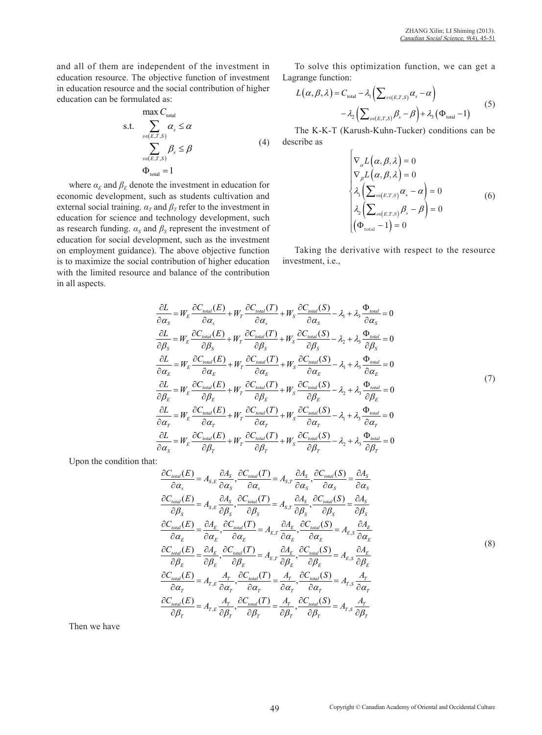and all of them are independent of the investment in education resource. The objective function of investment in education resource and the social contribution of higher education can be formulated as:

$$
\begin{array}{ll}\n\max C_{\text{total}} \\
\text{s.t.} & \sum_{s \in (E, T, S)} \alpha_s \le \alpha \\
& \sum_{s \in (E, T, S)} \beta_s \le \beta \\
& \Phi_{\text{total}} = 1\n\end{array} \tag{4}
$$

where  $\alpha_E$  and  $\beta_E$  denote the investment in education for economic development, such as students cultivation and external social training.  $\alpha_T$  and  $\beta_T$  refer to the investment in education for science and technology development, such as research funding.  $\alpha_s$  and  $\beta_s$  represent the investment of education for social development, such as the investment on employment guidance). The above objective function is to maximize the social contribution of higher education with the limited resource and balance of the contribution in all aspects.

To solve this optimization function, we can get a Lagrange function:

$$
L(\alpha, \beta, \lambda) = C_{\text{total}} - \lambda_1 \left( \sum_{s \in (E, T, S)} \alpha_s - \alpha \right)
$$
  
- 
$$
\lambda_2 \left( \sum_{s \in (E, T, S)} \beta_s - \beta \right) + \lambda_3 (\Phi_{\text{total}} - 1)
$$
 (5)

The K-K-T (Karush-Kuhn-Tucker) conditions can be describe as

$$
\begin{cases}\n\nabla_{\alpha}L(\alpha,\beta,\lambda) = 0 \\
\nabla_{\beta}L(\alpha,\beta,\lambda) = 0 \\
\lambda_1\left(\sum_{s \in (E,T,S)} \alpha_s - \alpha\right) = 0 \\
\lambda_2\left(\sum_{s \in (E,T,S)} \beta_s - \beta\right) = 0 \\
(\Phi_{\text{total}} - 1) = 0\n\end{cases}
$$
(6)

Taking the derivative with respect to the resource investment, i.e.,

$$
\frac{\partial L}{\partial \alpha_{S}} = W_{E} \frac{\partial C_{total}(E)}{\partial \alpha_{S}} + W_{T} \frac{\partial C_{total}(T)}{\partial \alpha_{S}} + W_{S} \frac{\partial C_{total}(S)}{\partial \alpha_{S}} - \lambda_{1} + \lambda_{3} \frac{\Phi_{total}}{\partial \alpha_{S}} = 0
$$
\n
$$
\frac{\partial L}{\partial \beta_{S}} = W_{E} \frac{\partial C_{total}(E)}{\partial \beta_{S}} + W_{T} \frac{\partial C_{total}(T)}{\partial \beta_{S}} + W_{S} \frac{\partial C_{total}(S)}{\partial \beta_{S}} - \lambda_{2} + \lambda_{3} \frac{\Phi_{total}}{\partial \beta_{S}} = 0
$$
\n
$$
\frac{\partial L}{\partial \alpha_{E}} = W_{E} \frac{\partial C_{total}(E)}{\partial \alpha_{E}} + W_{T} \frac{\partial C_{total}(T)}{\partial \alpha_{E}} + W_{S} \frac{\partial C_{total}(S)}{\partial \alpha_{E}} - \lambda_{1} + \lambda_{3} \frac{\Phi_{total}}{\partial \alpha_{E}} = 0
$$
\n
$$
\frac{\partial L}{\partial \beta_{E}} = W_{E} \frac{\partial C_{total}(E)}{\partial \beta_{E}} + W_{T} \frac{\partial C_{total}(T)}{\partial \beta_{E}} + W_{S} \frac{\partial C_{total}(S)}{\partial \beta_{E}} - \lambda_{2} + \lambda_{3} \frac{\Phi_{total}}{\partial \beta_{E}} = 0
$$
\n
$$
\frac{\partial L}{\partial \alpha_{T}} = W_{E} \frac{\partial C_{total}(E)}{\partial \alpha_{T}} + W_{T} \frac{\partial C_{total}(T)}{\partial \alpha_{T}} + W_{S} \frac{\partial C_{total}(S)}{\partial \alpha_{T}} - \lambda_{1} + \lambda_{3} \frac{\Phi_{total}}{\partial \alpha_{T}} = 0
$$
\n
$$
\frac{\partial L}{\partial \alpha_{S}} = W_{E} \frac{\partial C_{total}(E)}{\partial \beta_{T}} + W_{T} \frac{\partial C_{total}(T)}{\partial \beta_{T}} + W_{S} \frac{\partial C_{total}(S)}{\partial \beta_{T}} - \lambda_{2} + \lambda_{3} \frac{\Phi_{total}}{\partial \beta_{T}} = 0
$$
\n(7)

Upon the condition that:

$$
\frac{\partial C_{total}(E)}{\partial \alpha_{s}} = A_{s,E} \frac{\partial A_{s}}{\partial \alpha_{s}}, \frac{\partial C_{total}(T)}{\partial \alpha_{s}} = A_{s,T} \frac{\partial A_{s}}{\partial \alpha_{s}}, \frac{\partial C_{total}(S)}{\partial \alpha_{s}} = \frac{\partial A_{s}}{\partial \alpha_{s}} \n\frac{\partial C_{total}(E)}{\partial \beta_{s}} = A_{s,E} \frac{\partial A_{s}}{\partial \beta_{s}}, \frac{\partial C_{total}(T)}{\partial \beta_{s}} = A_{s,T} \frac{\partial A_{s}}{\partial \beta_{s}}, \frac{\partial C_{total}(S)}{\partial \beta_{s}} = \frac{\partial A_{s}}{\partial \beta_{s}} \n\frac{\partial C_{total}(E)}{\partial \alpha_{E}} = \frac{\partial A_{E}}{\partial \alpha_{E}}, \frac{\partial C_{total}(T)}{\partial \alpha_{E}} = A_{E,T} \frac{\partial A_{E}}{\partial \alpha_{E}}, \frac{\partial C_{total}(S)}{\partial \alpha_{E}} = A_{E,s} \frac{\partial A_{E}}{\partial \alpha_{E}} \n\frac{\partial C_{total}(E)}{\partial \beta_{E}} = \frac{\partial A_{E}}{\partial \beta_{E}}, \frac{\partial C_{total}(T)}{\partial \beta_{E}} = A_{E,T} \frac{\partial A_{E}}{\partial \beta_{E}}, \frac{\partial C_{total}(S)}{\partial \beta_{E}} = A_{E,s} \frac{\partial A_{E}}{\partial \beta_{E}} \n\frac{\partial C_{total}(E)}{\partial \alpha_{T}} = A_{T,E} \frac{A_{T}}{\partial \alpha_{T}}, \frac{\partial C_{total}(T)}{\partial \alpha_{T}} = \frac{A_{T}}{\partial \alpha_{T}}, \frac{\partial C_{total}(S)}{\partial \alpha_{T}} = A_{T,s} \frac{A_{T}}{\partial \alpha_{T}} \n\frac{\partial C_{total}(E)}{\partial \beta_{T}} = A_{T,E} \frac{A_{T}}{\partial \beta_{T}}, \frac{\partial C_{total}(T)}{\partial \beta_{T}} = \frac{A_{T}}{\partial \beta_{T}}, \frac{\partial C_{total}(S)}{\partial \beta_{T}} = A_{T,s} \frac{A_{T}}{\partial \beta_{T}}
$$
\n(8)

Then we have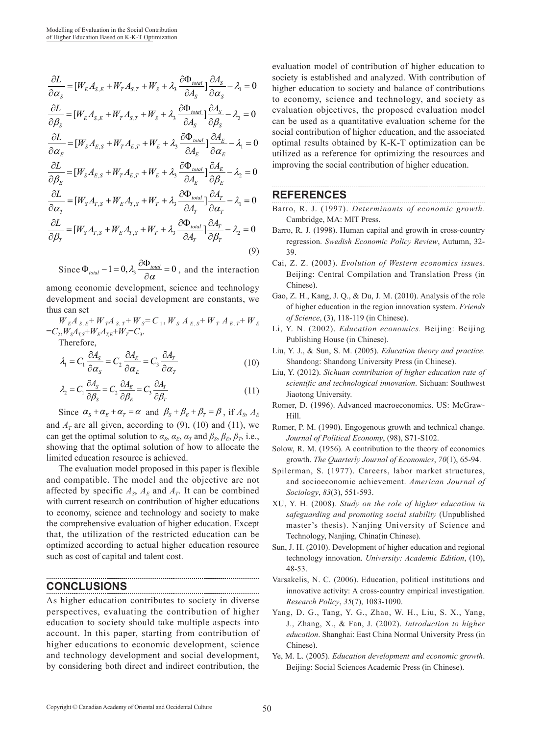$$
\begin{split} \frac{\partial L}{\partial \alpha_{s}}&=[W_{E}A_{S,E}+W_{T}A_{S,T}+W_{S}+\lambda_{3}\frac{\partial \Phi_{total}}{\partial A_{S}}]\frac{\partial A_{S}}{\partial \alpha_{s}}-\lambda_{1}=0\\ \frac{\partial L}{\partial \beta_{S}}&=[W_{E}A_{S,E}+W_{T}A_{S,T}+W_{S}+\lambda_{3}\frac{\partial \Phi_{total}}{\partial A_{S}}]\frac{\partial A_{S}}{\partial \beta_{S}}-\lambda_{2}=0\\ \frac{\partial L}{\partial \alpha_{E}}&=[W_{S}A_{E,S}+W_{T}A_{E,T}+W_{E}+\lambda_{3}\frac{\partial \Phi_{total}}{\partial A_{E}}]\frac{\partial A_{E}}{\partial \alpha_{E}}-\lambda_{1}=0\\ \frac{\partial L}{\partial \beta_{E}}&=[W_{S}A_{E,S}+W_{T}A_{E,T}+W_{E}+\lambda_{3}\frac{\partial \Phi_{total}}{\partial A_{E}}]\frac{\partial A_{E}}{\partial \beta_{E}}-\lambda_{2}=0 \end{split}
$$

$$
\frac{\partial L}{\partial \alpha_T} = [W_S A_{T,S} + W_E A_{T,S} + W_T + \lambda_3 \frac{\partial \Phi_{total}}{\partial A_T}] \frac{\partial A_T}{\partial \alpha_T} - \lambda_1 = 0
$$

$$
\frac{\partial L}{\partial \beta_T} = [W_S A_{T,S} + W_E A_{T,S} + W_T + \lambda_3 \frac{\partial \Phi_{total}}{\partial A_T}] \frac{\partial A_T}{\partial \beta_T} - \lambda_2 = 0
$$
\n(9)

Since  $\Phi_{total}$  – 1 = 0,  $\lambda_3 \frac{\partial \Phi_{total}}{\partial \alpha}$  = 0, and the interaction

among economic development, science and technology development and social development are constants, we thus can set

 $W_{E}A_{S,E} + W_{T}A_{S,T} + W_{S} = C_{1}$ ,  $W_{S}A_{E,S} + W_{T}A_{E,T} + W_{E}$  $=C_2, W_S A_{TS} + W_E A_{TE} + W_T = C_3.$ 

Therefore,

$$
\lambda_1 = C_1 \frac{\partial A_S}{\partial \alpha_S} = C_2 \frac{\partial A_E}{\partial \alpha_E} = C_3 \frac{\partial A_T}{\partial \alpha_T}
$$
(10)

$$
\lambda_2 = C_1 \frac{\partial A_S}{\partial \beta_S} = C_2 \frac{\partial A_E}{\partial \beta_E} = C_3 \frac{\partial A_T}{\partial \beta_T}
$$
(11)

Since  $\alpha_s + \alpha_r + \alpha_r = \alpha$  and  $\beta_s + \beta_r + \beta_r = \beta$ , if  $A_s$ ,  $A_k$ and  $A_T$  are all given, according to (9), (10) and (11), we can get the optimal solution to  $\alpha_s$ ,  $\alpha_E$ ,  $\alpha_T$  and  $\beta_s$ ,  $\beta_E$ ,  $\beta_T$ , i.e., showing that the optimal solution of how to allocate the limited education resource is achieved.

The evaluation model proposed in this paper is flexible and compatible. The model and the objective are not affected by specific  $A_s$ ,  $A_E$  and  $A_T$ . It can be combined with current research on contribution of higher educations to economy, science and technology and society to make the comprehensive evaluation of higher education. Except that, the utilization of the restricted education can be optimized according to actual higher education resource such as cost of capital and talent cost.

#### **CONCLUSIONS**

As higher education contributes to society in diverse perspectives, evaluating the contribution of higher education to society should take multiple aspects into account. In this paper, starting from contribution of higher educations to economic development, science and technology development and social development, by considering both direct and indirect contribution, the

evaluation model of contribution of higher education to society is established and analyzed. With contribution of higher education to society and balance of contributions to economy, science and technology, and society as evaluation objectives, the proposed evaluation model can be used as a quantitative evaluation scheme for the social contribution of higher education, and the associated optimal results obtained by K-K-T optimization can be utilized as a reference for optimizing the resources and improving the social contribution of higher education.

#### **REFERENCES**

- Barro, R. J. (1997). *Determinants of economic growth*. Cambridge, MA: MIT Press.
- Barro, R. J. (1998). Human capital and growth in cross-country regression. *Swedish Economic Policy Review*, Autumn, 32- 39.
- Cai, Z. Z. (2003). *Evolution of Western economics issue*s. Beijing: Central Compilation and Translation Press (in Chinese).
- Gao, Z. H., Kang, J. Q., & Du, J. M. (2010). Analysis of the role of higher education in the region innovation system. *Friends of Science*, (3), 118-119 (in Chinese).
- Li, Y. N. (2002). *Education economics.* Beijing: Beijing Publishing House (in Chinese).
- Liu, Y. J., & Sun, S. M. (2005). *Education theory and practice*. Shandong: Shandong University Press (in Chinese).
- Liu, Y. (2012). *Sichuan contribution of higher education rate of scientific and technological innovation*. Sichuan: Southwest Jiaotong University.
- Romer, D. (1996). Advanced macroeconomics. US: McGraw-Hill.
- Romer, P. M. (1990). Engogenous growth and technical change. *Journal of Political Economy*, (98), S71-S102.
- Solow, R. M. (1956). A contribution to the theory of economics growth. *The Quarterly Journal of Economics*, *70*(1), 65-94.
- Spilerman, S. (1977). Careers, labor market structures, and socioeconomic achievement. *American Journal of Sociology*, *83*(3), 551-593.
- XU, Y. H. (2008). *Study on the role of higher education in safeguarding and promoting social stability* (Unpublished master's thesis). Nanjing University of Science and Technology, Nanjing, China(in Chinese).
- Sun, J. H. (2010). Development of higher education and regional technology innovation. *University: Academic Edition*, (10), 48-53.
- Varsakelis, N. C. (2006). Education, political institutions and innovative activity: A cross-country empirical investigation. *Research Policy*, *35*(7), 1083-1090.
- Yang, D. G., Tang, Y. G., Zhao, W. H., Liu, S. X., Yang, J., Zhang, X., & Fan, J. (2002). *Introduction to higher education*. Shanghai: East China Normal University Press (in Chinese).
- Ye, M. L. (2005). *Education development and economic growth*. Beijing: Social Sciences Academic Press (in Chinese).